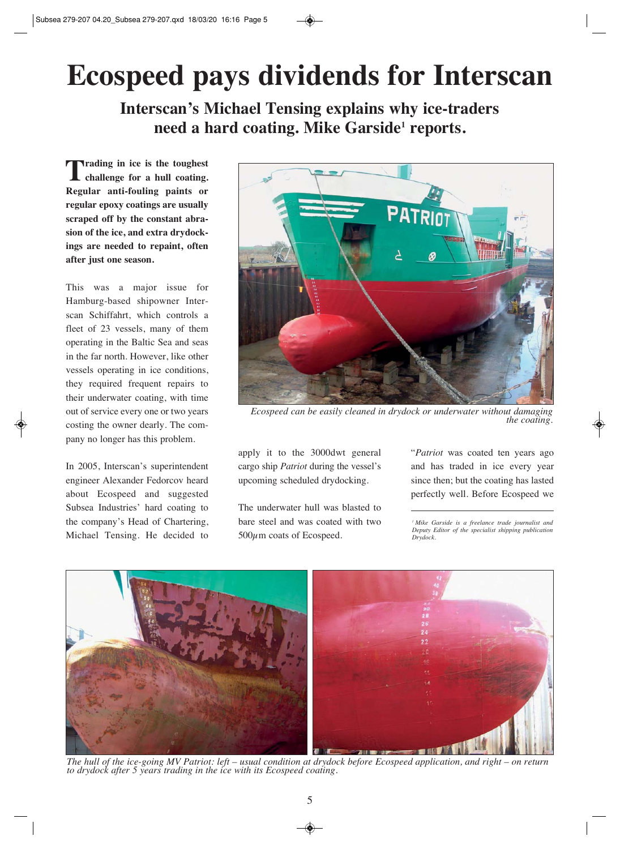## **Ecospeed pays dividends for Interscan**

**Interscan's Michael Tensing explains why ice-traders need a hard coating. Mike Garside1 reports.**

**Trading in ice is the toughest challenge for a hull coating. Regular anti-fouling paints or regular epoxy coatings are usually scraped off by the constant abrasion of the ice, and extra drydockings are needed to repaint, often after just one season.**

This was a major issue for Hamburg-based shipowner Interscan Schiffahrt, which controls a fleet of 23 vessels, many of them operating in the Baltic Sea and seas in the far north. However, like other vessels operating in ice conditions, they required frequent repairs to their underwater coating, with time out of service every one or two years costing the owner dearly. The company no longer has this problem.

In 2005, Interscan's superintendent engineer Alexander Fedorcov heard about Ecospeed and suggested Subsea Industries' hard coating to the company's Head of Chartering, Michael Tensing. He decided to



*Ecospeed can be easily cleaned in drydock or underwater without damaging the coating.*

apply it to the 3000dwt general cargo ship *Patriot* during the vessel's upcoming scheduled drydocking.

The underwater hull was blasted to bare steel and was coated with two  $500\mu$ m coats of Ecospeed.

"*Patriot* was coated ten years ago and has traded in ice every year since then; but the coating has lasted perfectly well. Before Ecospeed we

*1 Mike Garside is a freelance trade journalist and Deputy Editor of the specialist shipping publication Drydock.*



*The hull of the ice-going MV Patriot: left – usual condition at drydock before Ecospeed application, and right – on return to drydock after 5 years trading in the ice with its Ecospeed coating.*